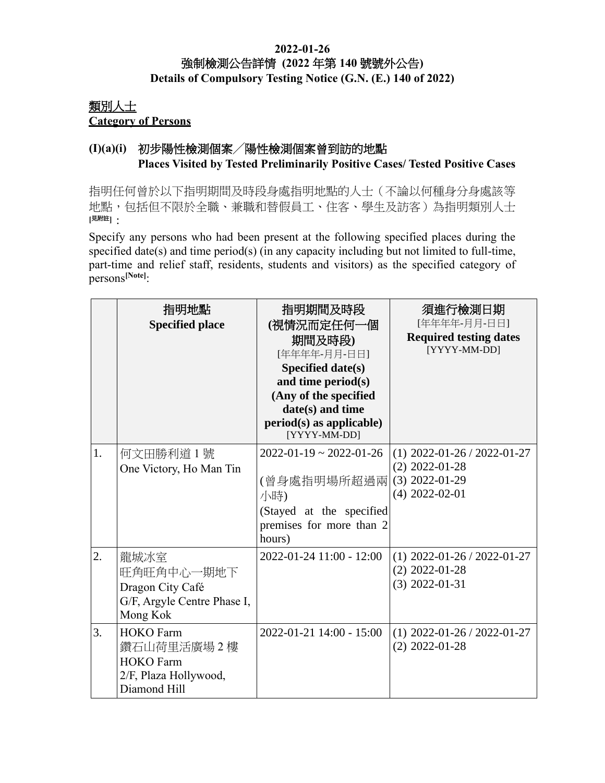#### **2022-01-26** 強制檢測公告詳情 **(2022** 年第 **140** 號號外公告**) Details of Compulsory Testing Notice (G.N. (E.) 140 of 2022)**

## 類別人士 **Category of Persons**

## **(I)(a)(i)** 初步陽性檢測個案╱陽性檢測個案曾到訪的地點 **Places Visited by Tested Preliminarily Positive Cases/ Tested Positive Cases**

指明任何曾於以下指明期間及時段身處指明地點的人士(不論以何種身分身處該等 地點,包括但不限於全職、兼職和替假員工、住客、學生及訪客)為指明類別人士 **[**見附註**]**:

Specify any persons who had been present at the following specified places during the specified date(s) and time period(s) (in any capacity including but not limited to full-time, part-time and relief staff, residents, students and visitors) as the specified category of persons**[Note]**:

|    | 指明地點<br><b>Specified place</b>                                                              | 指明期間及時段<br>(視情況而定任何一個<br>期間及時段)<br>[年年年年-月月-日日]<br>Specified date(s)<br>and time period(s)<br>(Any of the specified<br>date(s) and time<br>$period(s)$ as applicable)<br>[YYYY-MM-DD] | 須進行檢測日期<br>[年年年年-月月-日日]<br><b>Required testing dates</b><br>[YYYY-MM-DD]                  |
|----|---------------------------------------------------------------------------------------------|---------------------------------------------------------------------------------------------------------------------------------------------------------------------------------------|-------------------------------------------------------------------------------------------|
| 1. | 何文田勝利道1號<br>One Victory, Ho Man Tin                                                         | $2022 - 01 - 19 \approx 2022 - 01 - 26$<br>(曾身處指明場所超過兩<br>小時)<br>(Stayed at the specified<br>premises for more than 2<br>hours)                                                       | $(1)$ 2022-01-26 / 2022-01-27<br>$(2)$ 2022-01-28<br>$(3)$ 2022-01-29<br>$(4)$ 2022-02-01 |
| 2. | 龍城冰室<br>旺角旺角中心一期地下<br>Dragon City Café<br>G/F, Argyle Centre Phase I,<br>Mong Kok           | 2022-01-24 11:00 - 12:00                                                                                                                                                              | $(1)$ 2022-01-26 / 2022-01-27<br>$(2)$ 2022-01-28<br>$(3)$ 2022-01-31                     |
| 3. | <b>HOKO</b> Farm<br>鑽石山荷里活廣場2樓<br><b>HOKO</b> Farm<br>2/F, Plaza Hollywood,<br>Diamond Hill | 2022-01-21 14:00 - 15:00                                                                                                                                                              | $(1)$ 2022-01-26 / 2022-01-27<br>$(2)$ 2022-01-28                                         |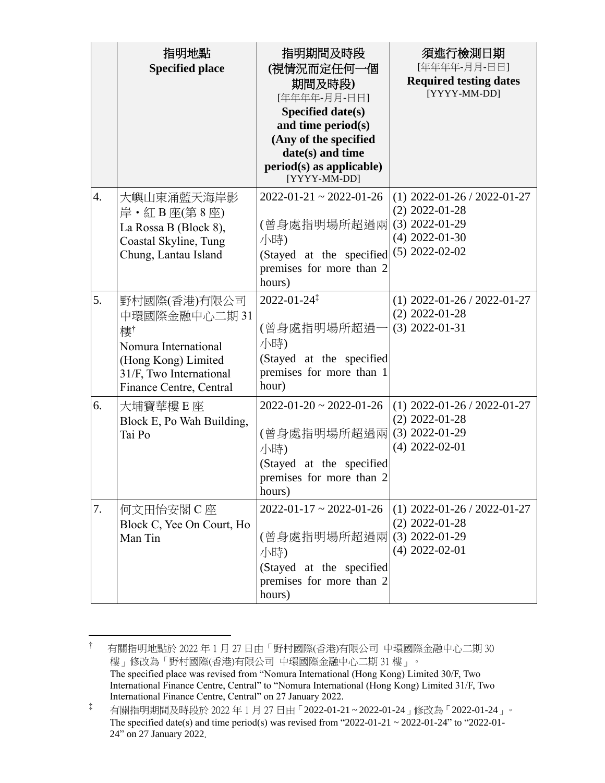|                  | 指明地點<br><b>Specified place</b>                                                                                                          | 指明期間及時段<br>(視情況而定任何一個<br>期間及時段)<br>[年年年年-月月-日日]<br><b>Specified date(s)</b><br>and time period(s)<br>(Any of the specified<br>date(s) and time<br>$period(s)$ as applicable)<br>[YYYY-MM-DD] | 須進行檢測日期<br>[年年年年-月月-日日]<br><b>Required testing dates</b><br>[YYYY-MM-DD]                                      |
|------------------|-----------------------------------------------------------------------------------------------------------------------------------------|----------------------------------------------------------------------------------------------------------------------------------------------------------------------------------------------|---------------------------------------------------------------------------------------------------------------|
| $\overline{4}$ . | 大嶼山東涌藍天海岸影<br>岸 · 紅 B 座(第 8 座)<br>La Rossa B (Block 8),<br>Coastal Skyline, Tung<br>Chung, Lantau Island                                | $2022 - 01 - 21 \approx 2022 - 01 - 26$<br>(曾身處指明場所超過兩<br>小時)<br>(Stayed at the specified<br>premises for more than 2<br>hours)                                                              | $(1)$ 2022-01-26 / 2022-01-27<br>$(2)$ 2022-01-28<br>$(3)$ 2022-01-29<br>$(4)$ 2022-01-30<br>$(5)$ 2022-02-02 |
| 5.               | 野村國際(香港)有限公司<br>中環國際金融中心二期31<br>樓†<br>Nomura International<br>(Hong Kong) Limited<br>31/F, Two International<br>Finance Centre, Central | $2022 - 01 - 24$ <sup>‡</sup><br>(曾身處指明場所超過-<br>小時)<br>(Stayed at the specified<br>premises for more than 1<br>hour)                                                                         | $(1)$ 2022-01-26 / 2022-01-27<br>$(2)$ 2022-01-28<br>$(3)$ 2022-01-31                                         |
| 6.               | 大埔寶華樓E座<br>Block E, Po Wah Building,<br>Tai Po                                                                                          | $2022 - 01 - 20 \approx 2022 - 01 - 26$<br>(曾身處指明場所超過兩<br>小時)<br>(Stayed at the specified<br>premises for more than 2<br>hours)                                                              | $(1)$ 2022-01-26 / 2022-01-27<br>$(2)$ 2022-01-28<br>$(3)$ 2022-01-29<br>$(4)$ 2022-02-01                     |
| 7.               | 何文田怡安閣 C座<br>Block C, Yee On Court, Ho<br>Man Tin                                                                                       | $2022 - 01 - 17 \approx 2022 - 01 - 26$<br>(曾身處指明場所超過兩<br>小時)<br>(Stayed at the specified<br>premises for more than 2<br>hours)                                                              | $(1)$ 2022-01-26 / 2022-01-27<br>$(2)$ 2022-01-28<br>$(3)$ 2022-01-29<br>$(4)$ 2022-02-01                     |

<sup>†</sup> 有關指明地點於 2022 年 1 月 27 日由「野村國際(香港)有限公司 中環國際金融中心二期 30 樓」修改為「野村國際(香港)有限公司 中環國際金融中心二期 31 樓」。 The specified place was revised from "Nomura International (Hong Kong) Limited 30/F, Two International Finance Centre, Central" to "Nomura International (Hong Kong) Limited 31/F, Two International Finance Centre, Central" on 27 January 2022.

 $\overline{a}$ 

<sup>‡</sup> 有關指明期間及時段於 2022 年 1 月 27 日由「2022-01-21 ~ 2022-01-24」修改為「2022-01-24」。 The specified date(s) and time period(s) was revised from "2022-01-21 ~ 2022-01-24" to "2022-01-24" on 27 January 2022.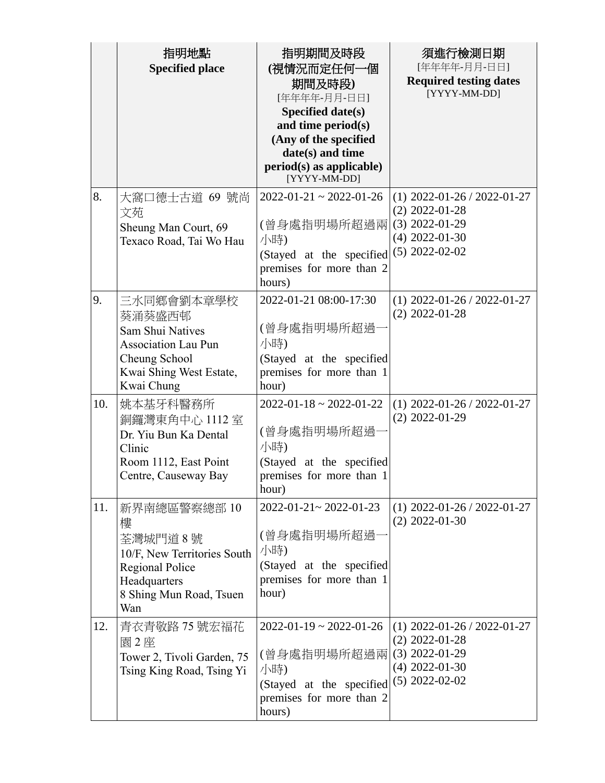|     | 指明地點<br><b>Specified place</b>                                                                                                          | 指明期間及時段<br>(視情況而定任何一個<br>期間及時段)<br>[年年年年-月月-日日]<br>Specified date(s)<br>and time period(s)<br>(Any of the specified<br>date(s) and time<br>$period(s)$ as applicable)<br>[YYYY-MM-DD] | 須進行檢測日期<br>[年年年年-月月-日日]<br><b>Required testing dates</b><br>[YYYY-MM-DD]                                      |
|-----|-----------------------------------------------------------------------------------------------------------------------------------------|---------------------------------------------------------------------------------------------------------------------------------------------------------------------------------------|---------------------------------------------------------------------------------------------------------------|
| 8.  | 大窩口德士古道 69 號尚<br>文苑<br>Sheung Man Court, 69<br>Texaco Road, Tai Wo Hau                                                                  | $2022 - 01 - 21 \approx 2022 - 01 - 26$<br>(曾身處指明場所超過兩<br>小時)<br>(Stayed at the specified<br>premises for more than 2<br>hours)                                                       | $(1)$ 2022-01-26 / 2022-01-27<br>$(2)$ 2022-01-28<br>$(3)$ 2022-01-29<br>$(4)$ 2022-01-30<br>$(5)$ 2022-02-02 |
| 9.  | 三水同鄉會劉本章學校<br>葵涌葵盛西邨<br><b>Sam Shui Natives</b><br><b>Association Lau Pun</b><br>Cheung School<br>Kwai Shing West Estate,<br>Kwai Chung | 2022-01-21 08:00-17:30<br>(曾身處指明場所超過·<br>小時)<br>(Stayed at the specified<br>premises for more than 1<br>hour)                                                                         | $(1)$ 2022-01-26 / 2022-01-27<br>$(2)$ 2022-01-28                                                             |
| 10. | 姚本基牙科醫務所<br>銅鑼灣東角中心 1112 室<br>Dr. Yiu Bun Ka Dental<br>Clinic<br>Room 1112, East Point<br>Centre, Causeway Bay                          | $2022 - 01 - 18 \approx 2022 - 01 - 22$<br>(曾身處指明場所超過<br>小時)<br>(Stayed at the specified<br>premises for more than 1<br>hour)                                                         | $(1)$ 2022-01-26 / 2022-01-27<br>$(2)$ 2022-01-29                                                             |
| 11. | 新界南總區警察總部 10<br>樓<br>荃灣城門道8號<br>10/F, New Territories South<br><b>Regional Police</b><br>Headquarters<br>8 Shing Mun Road, Tsuen<br>Wan | $2022 - 01 - 21 \sim 2022 - 01 - 23$<br>(曾身處指明場所超過<br>小時)<br>(Stayed at the specified<br>premises for more than 1<br>hour)                                                            | $(1)$ 2022-01-26 / 2022-01-27<br>$(2)$ 2022-01-30                                                             |
| 12. | 青衣青敬路 75 號宏福花<br>園2座<br>Tower 2, Tivoli Garden, 75<br>Tsing King Road, Tsing Yi                                                         | $2022 - 01 - 19 \approx 2022 - 01 - 26$<br>(曾身處指明場所超過兩 <br>小時)<br>(Stayed at the specified<br>premises for more than 2<br>hours)                                                      | $(1)$ 2022-01-26 / 2022-01-27<br>$(2)$ 2022-01-28<br>$(3)$ 2022-01-29<br>$(4)$ 2022-01-30<br>$(5)$ 2022-02-02 |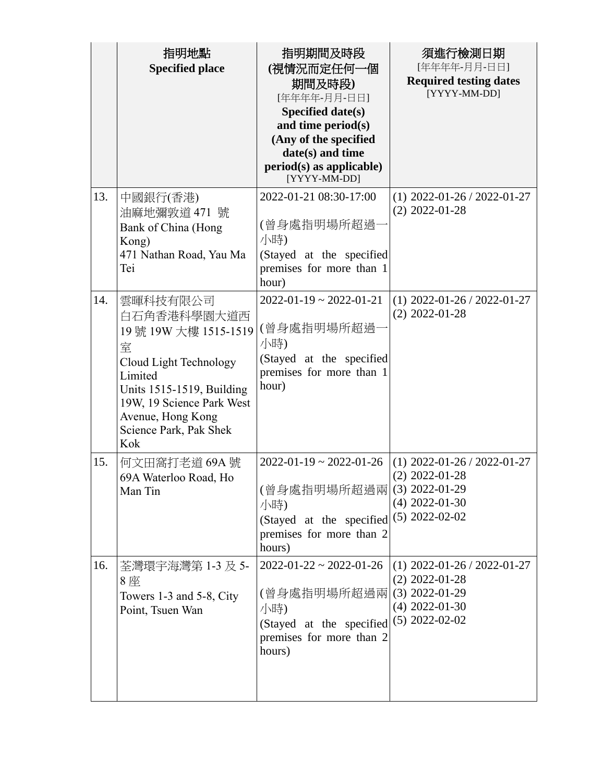|     | 指明地點<br><b>Specified place</b>                                                                                                                                                                            | 指明期間及時段<br>(視情況而定任何一個<br>期間及時段)<br>[年年年年-月月-日日]<br>Specified date(s)<br>and time period(s)<br>(Any of the specified<br>date(s) and time<br>period(s) as applicable)<br>[YYYY-MM-DD] | 須進行檢測日期<br>[年年年年-月月-日日]<br><b>Required testing dates</b><br>[YYYY-MM-DD]                                      |
|-----|-----------------------------------------------------------------------------------------------------------------------------------------------------------------------------------------------------------|-------------------------------------------------------------------------------------------------------------------------------------------------------------------------------------|---------------------------------------------------------------------------------------------------------------|
| 13. | 中國銀行(香港)<br>油麻地彌敦道 471 號<br>Bank of China (Hong<br>Kong)<br>471 Nathan Road, Yau Ma<br>Tei                                                                                                                | 2022-01-21 08:30-17:00<br>(曾身處指明場所超過<br>小時)<br>(Stayed at the specified<br>premises for more than 1<br>hour)                                                                        | $(1)$ 2022-01-26 / 2022-01-27<br>$(2)$ 2022-01-28                                                             |
| 14. | 雲暉科技有限公司<br>白石角香港科學園大道西<br>19號 19W 大樓 1515-1519<br>室<br>Cloud Light Technology<br>Limited<br>Units 1515-1519, Building<br>19W, 19 Science Park West<br>Avenue, Hong Kong<br>Science Park, Pak Shek<br>Kok | $2022 - 01 - 19 \approx 2022 - 01 - 21$<br>(曾身處指明場所超過<br>小時)<br>(Stayed at the specified<br>premises for more than 1<br>hour)                                                       | $(1)$ 2022-01-26 / 2022-01-27<br>$(2)$ 2022-01-28                                                             |
| 15. | 何文田窩打老道 69A 號<br>69A Waterloo Road, Ho<br>Man Tin                                                                                                                                                         | $2022 - 01 - 19 \approx 2022 - 01 - 26$<br>(曾身處指明場所超過兩 (3) 2022-01-29<br>小時)<br>(Stayed at the specified<br>premises for more than 2<br>hours)                                      | $(1)$ 2022-01-26 / 2022-01-27<br>$(2)$ 2022-01-28<br>$(4)$ 2022-01-30<br>$(5)$ 2022-02-02                     |
| 16. | 荃灣環宇海灣第 1-3 及 5-<br>8座<br>Towers 1-3 and 5-8, City<br>Point, Tsuen Wan                                                                                                                                    | $2022 - 01 - 22 \approx 2022 - 01 - 26$<br>(曾身處指明場所超過兩)<br>小時)<br>(Stayed at the specified<br>premises for more than 2<br>hours)                                                    | $(1)$ 2022-01-26 / 2022-01-27<br>$(2)$ 2022-01-28<br>$(3)$ 2022-01-29<br>$(4)$ 2022-01-30<br>$(5)$ 2022-02-02 |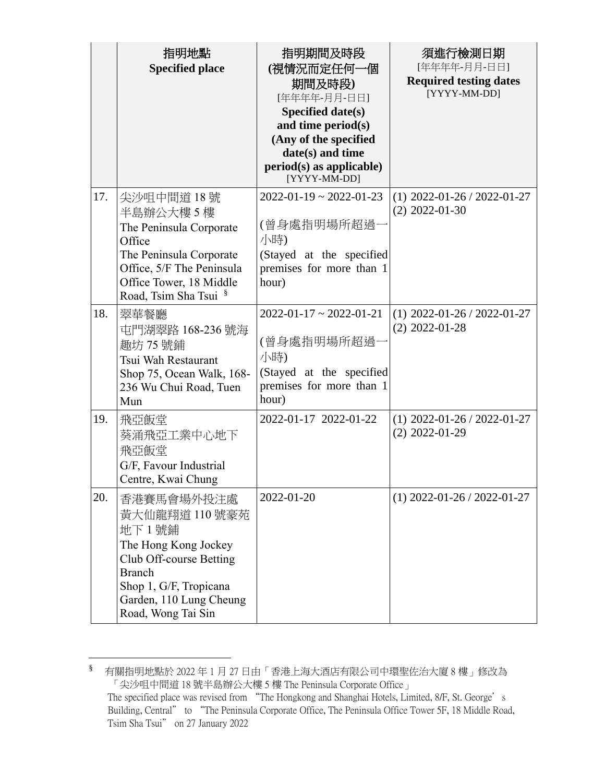|     | 指明地點<br><b>Specified place</b>                                                                                                                                                       | 指明期間及時段<br>(視情況而定任何一個<br>期間及時段)<br>[年年年年-月月-日日]<br>Specified date(s)<br>and time period(s)<br>(Any of the specified<br>date(s) and time<br>$period(s)$ as applicable)<br>[YYYY-MM-DD] | 須進行檢測日期<br>[年年年年-月月-日日]<br><b>Required testing dates</b><br>[YYYY-MM-DD] |
|-----|--------------------------------------------------------------------------------------------------------------------------------------------------------------------------------------|---------------------------------------------------------------------------------------------------------------------------------------------------------------------------------------|--------------------------------------------------------------------------|
| 17. | 尖沙咀中間道 18號<br>半島辦公大樓5樓<br>The Peninsula Corporate<br>Office<br>The Peninsula Corporate<br>Office, 5/F The Peninsula<br>Office Tower, 18 Middle<br>Road, Tsim Sha Tsui §              | $2022 - 01 - 19 \approx 2022 - 01 - 23$<br>(曾身處指明場所超過<br>小時)<br>(Stayed at the specified<br>premises for more than 1<br>hour)                                                         | $(1)$ 2022-01-26 / 2022-01-27<br>$(2)$ 2022-01-30                        |
| 18. | 翠華餐廳<br>屯門湖翠路 168-236 號海<br>趣坊 75號鋪<br>Tsui Wah Restaurant<br>Shop 75, Ocean Walk, 168-<br>236 Wu Chui Road, Tuen<br>Mun                                                             | $2022 - 01 - 17 \approx 2022 - 01 - 21$<br>(曾身處指明場所超過<br>小時)<br>(Stayed at the specified<br>premises for more than 1<br>hour)                                                         | $(1)$ 2022-01-26 / 2022-01-27<br>$(2)$ 2022-01-28                        |
| 19. | 飛亞飯堂<br>葵涌飛亞工業中心地下<br>飛亞飯堂<br>G/F, Favour Industrial<br>Centre, Kwai Chung                                                                                                           | 2022-01-17 2022-01-22                                                                                                                                                                 | $(1)$ 2022-01-26 / 2022-01-27<br>$(2)$ 2022-01-29                        |
| 20. | 香港賽馬會場外投注處<br>黃大仙龍翔道 110 號豪苑<br>地下1號鋪<br>The Hong Kong Jockey<br>Club Off-course Betting<br><b>Branch</b><br>Shop 1, G/F, Tropicana<br>Garden, 110 Lung Cheung<br>Road, Wong Tai Sin | 2022-01-20                                                                                                                                                                            | $(1)$ 2022-01-26 / 2022-01-27                                            |

<sup>§</sup> 有關指明地點於 2022 年 1 月 27 日由「香港上海大酒店有限公司中環聖佐治大廈 8 樓」修改為 「尖沙咀中間道 18 號半島辦公大樓 5 樓 The Peninsula Corporate Office」 The specified place was revised from "The Hongkong and Shanghai Hotels, Limited, 8/F, St. George's Building, Central" to "The Peninsula Corporate Office, The Peninsula Office Tower 5F, 18 Middle Road, Tsim Sha Tsui" on 27 January 2022

 $\overline{a}$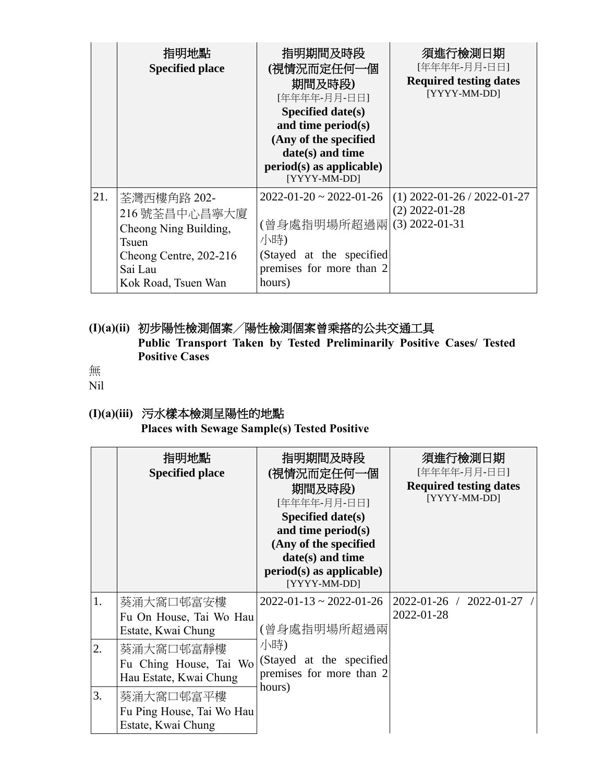|     | 指明地點<br><b>Specified place</b>                                                                                            | 指明期間及時段<br>(視情況而定任何一個<br>期間及時段)<br>[年年年年-月月-日日]<br>Specified date(s)<br>and time period $(s)$<br>(Any of the specified<br>$date(s)$ and time<br>$period(s)$ as applicable)<br>[YYYY-MM-DD] | 須進行檢測日期<br>[年年年年-月月-日日]<br><b>Required testing dates</b><br>[YYYY-MM-DD] |
|-----|---------------------------------------------------------------------------------------------------------------------------|--------------------------------------------------------------------------------------------------------------------------------------------------------------------------------------------|--------------------------------------------------------------------------|
| 21. | 荃灣西樓角路 202-<br>216號荃昌中心昌寧大廈<br>Cheong Ning Building,<br>Tsuen<br>Cheong Centre, 202-216<br>Sai Lau<br>Kok Road, Tsuen Wan | $2022 - 01 - 20 \approx 2022 - 01 - 26$<br>(曾身處指明場所超過兩<br>小時)<br>(Stayed at the specified<br>premises for more than 2<br>hours)                                                            | $(1)$ 2022-01-26 / 2022-01-27<br>$(2)$ 2022-01-28<br>$(3)$ 2022-01-31    |

**(I)(a)(ii)** 初步陽性檢測個案╱陽性檢測個案曾乘搭的公共交通工具 **Public Transport Taken by Tested Preliminarily Positive Cases/ Tested Positive Cases**

無

Nil

## **(I)(a)(iii)** 污水樣本檢測呈陽性的地點

**Places with Sewage Sample(s) Tested Positive** 

|    | 指明地點<br><b>Specified place</b>                                | 指明期間及時段<br>(視情況而定任何一個<br>期間及時段)<br>[年年年年-月月-日日]<br>Specified date $(s)$<br>and time period $(s)$<br>(Any of the specified<br>date(s) and time<br>$period(s)$ as applicable)<br>[YYYY-MM-DD] | 須進行檢測日期<br>[年年年年-月月-日日]<br><b>Required testing dates</b><br>[YYYY-MM-DD] |
|----|---------------------------------------------------------------|---------------------------------------------------------------------------------------------------------------------------------------------------------------------------------------------|--------------------------------------------------------------------------|
| 1. | 葵涌大窩口邨富安樓<br>Fu On House, Tai Wo Hau<br>Estate, Kwai Chung    | $2022 - 01 - 13 \approx 2022 - 01 - 26$<br>(曾身處指明場所超過兩                                                                                                                                      | 2022-01-26 / 2022-01-27 /<br>2022-01-28                                  |
| 2. | 葵涌大窩口邨富靜樓<br>Fu Ching House, Tai Wo<br>Hau Estate, Kwai Chung | 小時)<br>(Stayed at the specified<br>premises for more than 2                                                                                                                                 |                                                                          |
| 3. | 葵涌大窩口邨富平樓<br>Fu Ping House, Tai Wo Hau<br>Estate, Kwai Chung  | hours)                                                                                                                                                                                      |                                                                          |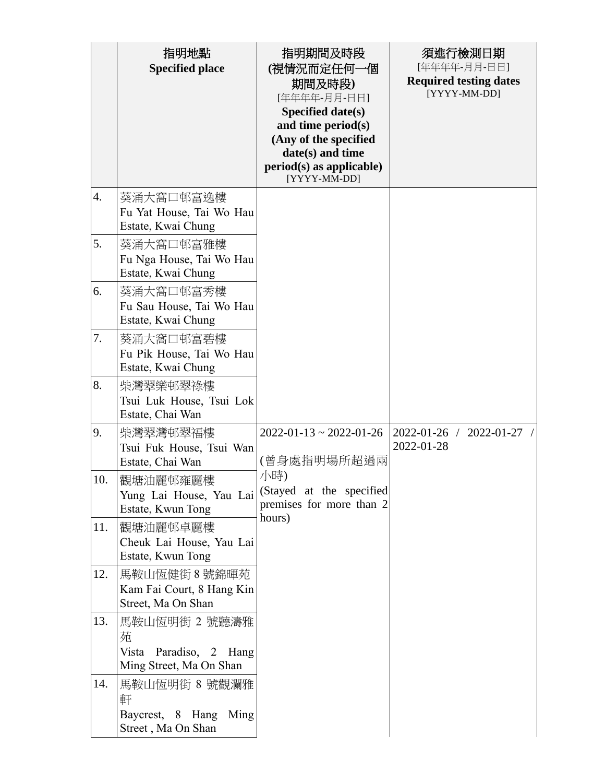|     | 指明地點<br><b>Specified place</b>                                             | 指明期間及時段<br>(視情況而定任何一個<br>期間及時段)<br>[年年年年-月月-日日]<br>Specified date(s)<br>and time period(s)<br>(Any of the specified<br>date(s) and time<br>period(s) as applicable)<br>[YYYY-MM-DD] | 須進行檢測日期<br>[年年年年-月月-日日]<br><b>Required testing dates</b><br>[YYYY-MM-DD] |
|-----|----------------------------------------------------------------------------|-------------------------------------------------------------------------------------------------------------------------------------------------------------------------------------|--------------------------------------------------------------------------|
| 4.  | 葵涌大窩口邨富逸樓<br>Fu Yat House, Tai Wo Hau<br>Estate, Kwai Chung                |                                                                                                                                                                                     |                                                                          |
| 5.  | 葵涌大窩口邨富雅樓<br>Fu Nga House, Tai Wo Hau<br>Estate, Kwai Chung                |                                                                                                                                                                                     |                                                                          |
| 6.  | 葵涌大窩口邨富秀樓<br>Fu Sau House, Tai Wo Hau<br>Estate, Kwai Chung                |                                                                                                                                                                                     |                                                                          |
| 7.  | 葵涌大窩口邨富碧樓<br>Fu Pik House, Tai Wo Hau<br>Estate, Kwai Chung                |                                                                                                                                                                                     |                                                                          |
| 8.  | 柴灣翠樂邨翠祿樓<br>Tsui Luk House, Tsui Lok<br>Estate, Chai Wan                   |                                                                                                                                                                                     |                                                                          |
| 9.  | 柴灣翠灣邨翠福樓<br>Tsui Fuk House, Tsui Wan<br>Estate, Chai Wan                   | $2022 - 01 - 13 \approx 2022 - 01 - 26$<br>(曾身處指明場所超過兩                                                                                                                              | $2022 - 01 - 26$ /<br>2022-01-27<br>2022-01-28                           |
| 10. | 觀塘油麗邨雍麗樓<br>Yung Lai House, Yau Lai<br>Estate, Kwun Tong                   | 小時)<br>(Stayed at the specified<br>premises for more than 2                                                                                                                         |                                                                          |
| 11. | 觀塘油麗邨卓麗樓<br>Cheuk Lai House, Yau Lai<br>Estate, Kwun Tong                  | hours)                                                                                                                                                                              |                                                                          |
| 12. | 馬鞍山恆健街 8 號錦暉苑<br>Kam Fai Court, 8 Hang Kin<br>Street, Ma On Shan           |                                                                                                                                                                                     |                                                                          |
| 13. | 馬鞍山恆明街 2 號聽濤雅<br>苑<br>Vista<br>Paradiso, 2 Hang<br>Ming Street, Ma On Shan |                                                                                                                                                                                     |                                                                          |
| 14. | 馬鞍山恆明街 8 號觀瀾雅<br>軒<br>Baycrest, 8 Hang Ming<br>Street, Ma On Shan          |                                                                                                                                                                                     |                                                                          |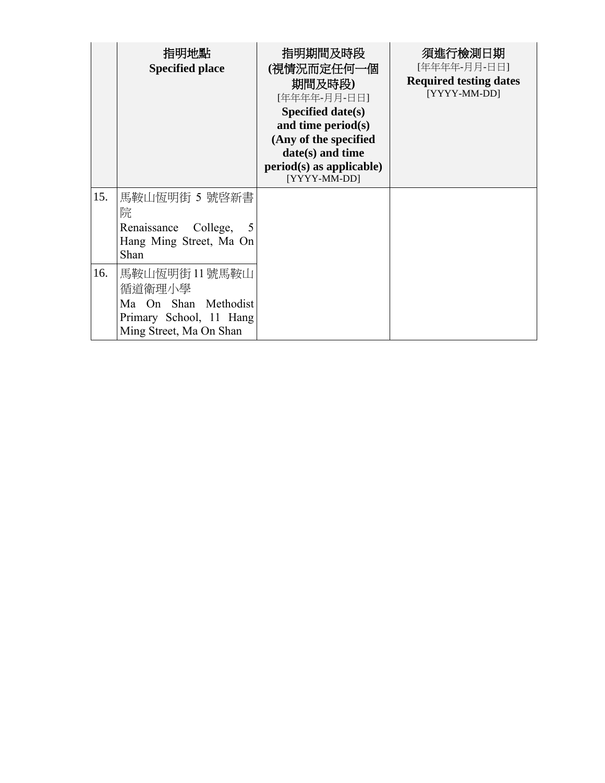|     | 指明地點<br><b>Specified place</b>                                                                        | 指明期間及時段<br>(視情況而定任何一個<br>期間及時段)<br>[年年年年-月月-日日]<br>Specified date( $s$ )<br>and time period $(s)$<br>(Any of the specified<br>date(s) and time<br>$period(s)$ as applicable)<br>[YYYY-MM-DD] | 須進行檢測日期<br>[年年年年-月月-日日]<br><b>Required testing dates</b><br>[YYYY-MM-DD] |
|-----|-------------------------------------------------------------------------------------------------------|----------------------------------------------------------------------------------------------------------------------------------------------------------------------------------------------|--------------------------------------------------------------------------|
| 15. | 馬鞍山恆明街 5 號啓新書<br>院<br>Renaissance College,<br>Hang Ming Street, Ma On<br>Shan                         |                                                                                                                                                                                              |                                                                          |
| 16. | 馬鞍山恆明街 11號馬鞍山<br>循道衛理小學<br>Ma On Shan Methodist<br>Primary School, 11 Hang<br>Ming Street, Ma On Shan |                                                                                                                                                                                              |                                                                          |